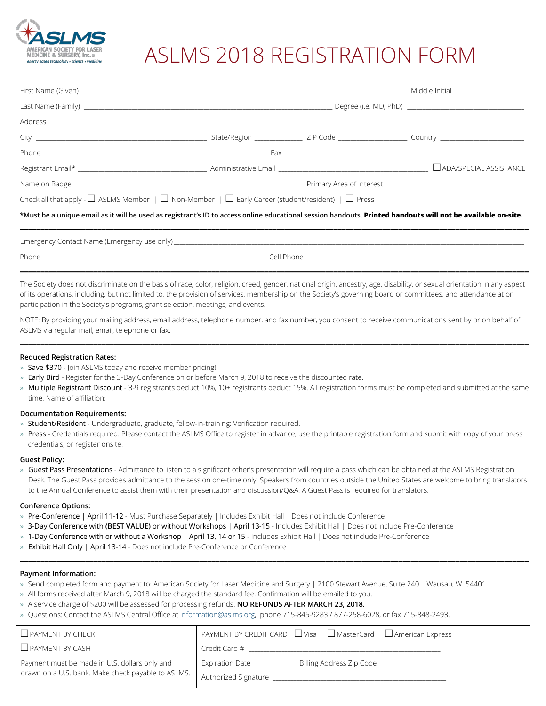

# ASLMS 2018 REGISTRATION FORM

| Check all that apply - $\Box$ ASLMS Member   $\Box$ Non-Member   $\Box$ Early Career (student/resident)   $\Box$ Press                                       |  |  |
|--------------------------------------------------------------------------------------------------------------------------------------------------------------|--|--|
| *Must be a unique email as it will be used as registrant's ID to access online educational session handouts. Printed handouts will not be available on-site. |  |  |
|                                                                                                                                                              |  |  |
| _______________________                                                                                                                                      |  |  |

The Society does not discriminate on the basis of race, color, religion, creed, gender, national origin, ancestry, age, disability, or sexual orientation in any aspect of its operations, including, but not limited to, the provision of services, membership on the Society's governing board or committees, and attendance at or participation in the Society's programs, grant selection, meetings, and events.

NOTE: By providing your mailing address, email address, telephone number, and fax number, you consent to receive communications sent by or on behalf of ASLMS via regular mail, email, telephone or fax.

**\_\_\_\_\_\_\_\_\_\_\_\_\_\_\_\_\_\_\_\_\_\_\_\_\_\_\_\_\_\_\_\_\_\_\_\_\_\_\_\_\_\_\_\_\_\_\_\_\_\_\_\_\_\_\_\_\_\_\_\_\_\_\_\_\_\_\_\_\_\_\_\_\_\_\_\_\_\_\_\_\_\_\_\_\_\_\_\_\_\_\_\_\_\_\_\_\_\_\_\_\_\_\_\_\_\_\_\_\_\_\_\_\_\_\_\_\_\_\_\_\_\_\_\_\_**

#### **Reduced Registration Rates:**

- » Save \$370 Join ASLMS today and receive member pricing!
- » Early Bird Register for the 3-Day Conference on or before March 9, 2018 to receive the discounted rate.
- » Multiple Registrant Discount 3-9 registrants deduct 10%, 10+ registrants deduct 15%. All registration forms must be completed and submitted at the same time. Name of affiliation:

#### **Documentation Requirements:**

- » Student/Resident Undergraduate, graduate, fellow-in-training: Verification required.
- » Press Credentials required. Please contact the ASLMS Office to register in advance, use the printable registration form and submit with copy of your press credentials, or register onsite.

#### **Guest Policy:**

» Guest Pass Presentations - Admittance to listen to a significant other's presentation will require a pass which can be obtained at the ASLMS Registration Desk. The Guest Pass provides admittance to the session one-time only. Speakers from countries outside the United States are welcome to bring translators to the Annual Conference to assist them with their presentation and discussion/Q&A. A Guest Pass is required for translators.

**\_\_\_\_\_\_\_\_\_\_\_\_\_\_\_\_\_\_\_\_\_\_\_\_\_\_\_\_\_\_\_\_\_\_\_\_\_\_\_\_\_\_\_\_\_\_\_\_\_\_\_\_\_\_\_\_\_\_\_\_\_\_\_\_\_\_\_\_\_\_\_\_\_\_\_\_\_\_\_\_\_\_\_\_\_\_\_\_\_\_\_\_\_\_\_\_\_\_\_\_\_\_\_\_\_\_\_\_\_\_\_\_\_\_\_\_\_\_\_\_\_\_\_\_\_**

### **Conference Options:**

- » Pre-Conference | April 11-12 Must Purchase Separately | Includes Exhibit Hall | Does not include Conference
- » 3-Day Conference with **(BEST VALUE)** or without Workshops | April 13-15 Includes Exhibit Hall | Does not include Pre-Conference
- » 1-Day Conference with or without a Workshop | April 13, 14 or 15 Includes Exhibit Hall | Does not include Pre-Conference
- » Exhibit Hall Only | April 13-14 Does not include Pre-Conference or Conference

## **Payment Information:**

- » Send completed form and payment to: American Society for Laser Medicine and Surgery | 2100 Stewart Avenue, Suite 240 | Wausau, WI 54401
- » All forms received after March 9, 2018 will be charged the standard fee. Confirmation will be emailed to you.
- » A service charge of \$200 will be assessed for processing refunds. **NO REFUNDS AFTER MARCH 23, 2018.**
- » Questions: Contact the ASLMS Central Office a[t information@aslms.org,](mailto:information@aslms.org) phone 715-845-9283 / 877-258-6028, or fax 715-848-2493.

| $\Box$ PAYMENT BY CHECK                            | $PAYMENT BY CREDIT CARD \quad \Box Visa \quad \Box MasterCard \quad \Box American Express$ |
|----------------------------------------------------|--------------------------------------------------------------------------------------------|
| $\Box$ PAYMENT BY CASH                             | Credit Card #                                                                              |
| Payment must be made in U.S. dollars only and      | Billing Address Zip Code<br><b>Expiration Date</b>                                         |
| drawn on a U.S. bank. Make check payable to ASLMS. | Authorized Signature                                                                       |